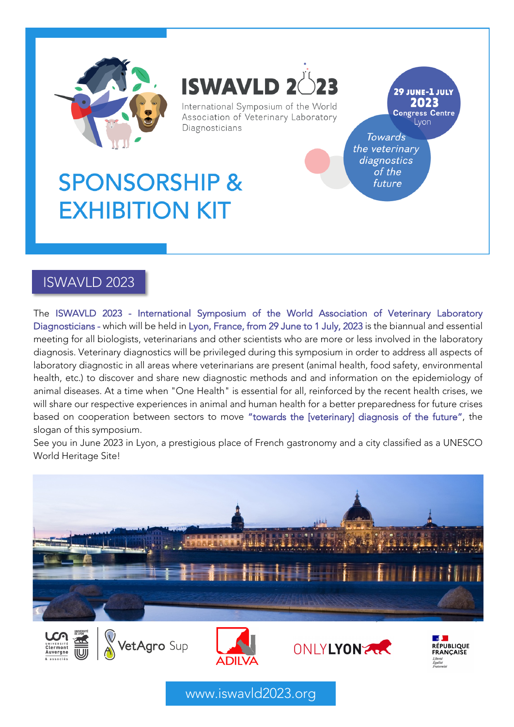



International Symposium of the World Association of Veterinary Laboratory Diagnosticians

29 JUNE-1 JULY 2023 **Congress Centre** Lyon

**RÉPUBLIQUE**<br>FRANÇAISE

Liverte<br>Égalité<br><sup>Enstannit</sup>

Towards the veterinary diagnostics of the future

# **SPONSORSHIP & EXHIBITION KIT**

### ISWAVLD 2023

**ESSE** 

VetAgro Sup

The ISWAVLD 2023 - International Symposium of the World Association of Veterinary Laboratory Diagnosticians - which will be held in Lyon, France, from 29 June to 1 July, 2023 is the biannual and essential meeting for all biologists, veterinarians and other scientists who are more or less involved in the laboratory diagnosis. Veterinary diagnostics will be privileged during this symposium in order to address all aspects of laboratory diagnostic in all areas where veterinarians are present (animal health, food safety, environmental health, etc.) to discover and share new diagnostic methods and and information on the epidemiology of animal diseases. At a time when "One Health" is essential for all, reinforced by the recent health crises, we will share our respective experiences in animal and human health for a better preparedness for future crises based on cooperation between sectors to move "towards the [veterinary] diagnosis of the future", the slogan of this symposium.

See you in June 2023 in Lyon, a prestigious place of French gastronomy and a city classified as a UNESCO World Heritage Site!



www.iswavld2023.org

**ONIYLYON AR**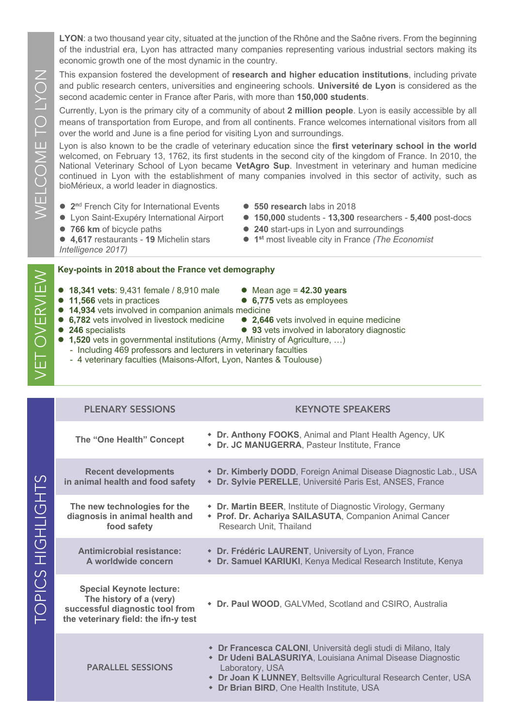**LYON**: a two thousand year city, situated at the junction of the Rhône and the Saône rivers. From the beginning of the industrial era, Lyon has attracted many companies representing various industrial sectors making its economic growth one of the most dynamic in the country.

This expansion fostered the development of **research and higher education institutions**, including private and public research centers, universities and engineering schools. **Université de Lyon** is considered as the second academic center in France after Paris, with more than **150,000 students**.

Currently, Lyon is the primary city of a community of about **2 million people**. Lyon is easily accessible by all means of transportation from Europe, and from all continents. France welcomes international visitors from all over the world and June is a fine period for visiting Lyon and surroundings.

Lyon is also known to be the cradle of veterinary education since the **first veterinary school in the world** welcomed, on February 13, 1762, its first students in the second city of the kingdom of France. In 2010, the National Veterinary School of Lyon became **VetAgro Sup**. Investment in veterinary and human medicine continued in Lyon with the establishment of many companies involved in this sector of activity, such as bioMérieux, a world leader in diagnostics.

- 2<sup>nd</sup> French City for International Events  **550 research** labs in 2018
- Lyon Saint-Exupéry International Airport  **150,000** students **13,300** researchers **5,400** post-docs
- 766 km of bicycle paths **and surroundings 240** start-ups in Lyon and surroundings
	-

● 4,617 restaurants - 19 Michelin stars **●** 1<sup>st</sup> most liveable city in France *(The Economist Intelligence 2017)*

#### **Key-points in 2018 about the France vet demography**

- **18,341 vets**: 9,431 female / 8,910 male Mean age = 42.30 vears
- 
- **14,934** vets involved in companion animals medicine
- **6,782** vets involved in livestock medicine  **2,646** vets involved in equine medicine
- 246 specialists **and in the set of the 93** vets involved in laboratory diagnostic
- 
- **11.566** vets in practices 6,775 vets as employees
	-
	-
- 
- 1,520 vets in governmental institutions (Army, Ministry of Agriculture, ...)
	- Including 469 professors and lecturers in veterinary faculties
	- 4 veterinary faculties (Maisons-Alfort, Lyon, Nantes & Toulouse)

| HIGHTOLHS<br>TOPICS | <b>PLENARY SESSIONS</b>                                                                                                               | <b>KEYNOTE SPEAKERS</b>                                                                                                                                                                                                                                              |
|---------------------|---------------------------------------------------------------------------------------------------------------------------------------|----------------------------------------------------------------------------------------------------------------------------------------------------------------------------------------------------------------------------------------------------------------------|
|                     | The "One Health" Concept                                                                                                              | • Dr. Anthony FOOKS, Animal and Plant Health Agency, UK<br>• Dr. JC MANUGERRA, Pasteur Institute, France                                                                                                                                                             |
|                     | <b>Recent developments</b><br>in animal health and food safety                                                                        | • Dr. Kimberly DODD, Foreign Animal Disease Diagnostic Lab., USA<br>• Dr. Sylvie PERELLE, Université Paris Est, ANSES, France                                                                                                                                        |
|                     | The new technologies for the<br>diagnosis in animal health and<br>food safety                                                         | • Dr. Martin BEER, Institute of Diagnostic Virology, Germany<br>* Prof. Dr. Achariya SAILASUTA, Companion Animal Cancer<br>Research Unit, Thailand                                                                                                                   |
|                     | Antimicrobial resistance:<br>A worldwide concern                                                                                      | • Dr. Frédéric LAURENT, University of Lyon, France<br>• Dr. Samuel KARIUKI, Kenya Medical Research Institute, Kenya                                                                                                                                                  |
|                     | <b>Special Keynote lecture:</b><br>The history of a (very)<br>successful diagnostic tool from<br>the veterinary field: the ifn-y test | • Dr. Paul WOOD, GALVMed, Scotland and CSIRO, Australia                                                                                                                                                                                                              |
|                     | <b>PARALLEL SESSIONS</b>                                                                                                              | • Dr Francesca CALONI, Università degli studi di Milano, Italy<br>• Dr Udeni BALASURIYA, Louisiana Animal Disease Diagnostic<br>Laboratory, USA<br>• Dr Joan K LUNNEY, Beltsville Agricultural Research Center, USA<br>Dr Brian BIRD, One Health Institute, USA<br>٠ |

VET OVERVIEW

VET OVERVIEW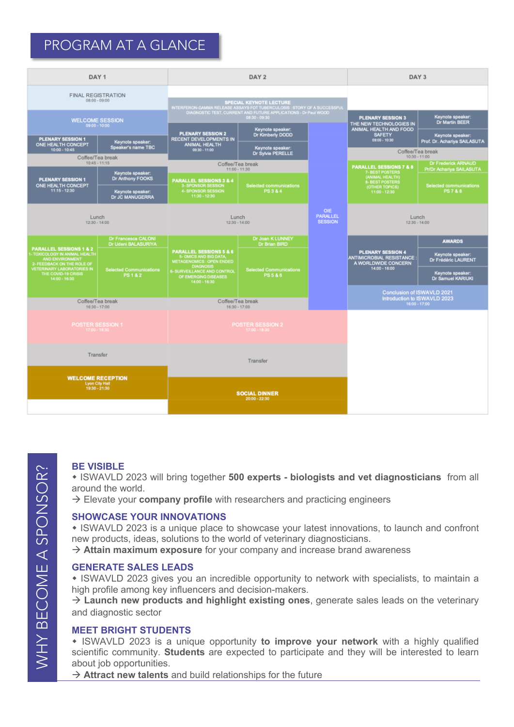### PROGRAM AT A GLANCE



#### **BE VISIBLE**

w ISWAVLD 2023 will bring together **500 experts - biologists and vet diagnosticians** from all around the world.

 $\rightarrow$  Elevate your **company profile** with researchers and practicing engineers

#### **SHOWCASE YOUR INNOVATIONS**

• ISWAVLD 2023 is a unique place to showcase your latest innovations, to launch and confront new products, ideas, solutions to the world of veterinary diagnosticians.

 $\rightarrow$  **Attain maximum exposure** for your company and increase brand awareness

#### **GENERATE SALES LEADS**

w ISWAVLD 2023 gives you an incredible opportunity to network with specialists, to maintain a high profile among key influencers and decision-makers.

 $\rightarrow$  Launch new products and highlight existing ones, generate sales leads on the veterinary and diagnostic sector

#### **MEET BRIGHT STUDENTS**

w ISWAVLD 2023 is a unique opportunity **to improve your network** with a highly qualified scientific community. **Students** are expected to participate and they will be interested to learn about job opportunities.

 $\rightarrow$  Attract new talents and build relationships for the future